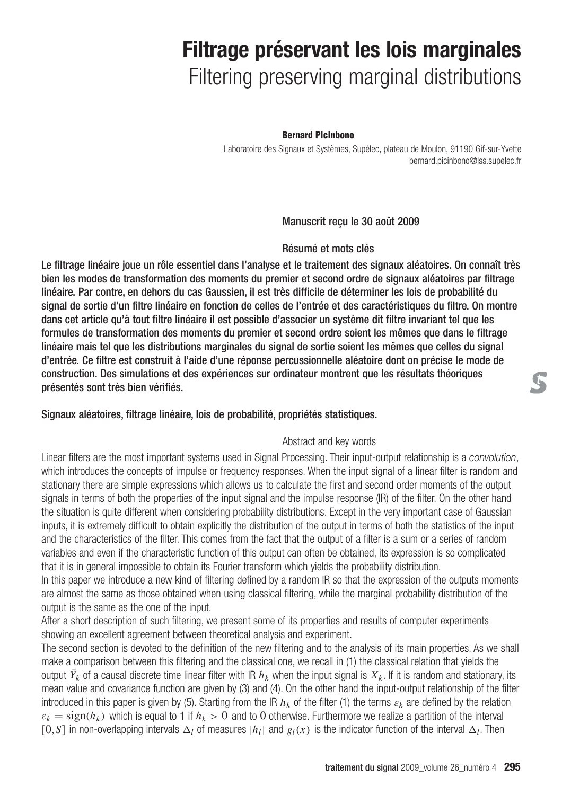# **Filtrage préservant les lois marginales** Filtering preserving marginal distributions

#### **Bernard Picinbono**

Laboratoire des Signaux et Systèmes, Supélec, plateau de Moulon, 91190 Gif-sur-Yvette bernard.picinbono@lss.supelec.fr

### Manuscrit reçu le 30 août 2009

#### Résumé et mots clés

Le filtrage linéaire joue un rôle essentiel dans l'analyse et le traitement des signaux aléatoires. On connaît très bien les modes de transformation des moments du premier et second ordre de signaux aléatoires par filtrage linéaire. Par contre, en dehors du cas Gaussien, il est très difficile de déterminer les lois de probabilité du signal de sortie d'un filtre linéaire en fonction de celles de l'entrée et des caractéristiques du filtre. On montre dans cet article qu'à tout filtre linéaire il est possible d'associer un système dit filtre invariant tel que les formules de transformation des moments du premier et second ordre soient les mêmes que dans le filtrage linéaire mais tel que les distributions marginales du signal de sortie soient les mêmes que celles du signal d'entrée. Ce filtre est construit à l'aide d'une réponse percussionnelle aléatoire dont on précise le mode de construction. Des simulations et des expériences sur ordinateur montrent que les résultats théoriques présentés sont très bien vérifiés.

### Signaux aléatoires, filtrage linéaire, lois de probabilité, propriétés statistiques.

#### Abstract and key words

Linear filters are the most important systems used in Signal Processing. Their input-output relationship is a *convolution*, which introduces the concepts of impulse or frequency responses. When the input signal of a linear filter is random and stationary there are simple expressions which allows us to calculate the first and second order moments of the output signals in terms of both the properties of the input signal and the impulse response (IR) of the filter. On the other hand the situation is quite different when considering probability distributions. Except in the very important case of Gaussian inputs, it is extremely difficult to obtain explicitly the distribution of the output in terms of both the statistics of the input and the characteristics of the filter. This comes from the fact that the output of a filter is a sum or a series of random variables and even if the characteristic function of this output can often be obtained, its expression is so complicated that it is in general impossible to obtain its Fourier transform which yields the probability distribution.

In this paper we introduce a new kind of filtering defined by a random IR so that the expression of the outputs moments are almost the same as those obtained when using classical filtering, while the marginal probability distribution of the output is the same as the one of the input.

After a short description of such filtering, we present some of its properties and results of computer experiments showing an excellent agreement between theoretical analysis and experiment.

The second section is devoted to the definition of the new filtering and to the analysis of its main properties. As we shall make a comparison between this filtering and the classical one, we recall in (1) the classical relation that yields the output  $\bar{Y}_k$  of a causal discrete time linear filter with IR  $h_k$  when the input signal is  $X_k$ . If it is random and stationary, its mean value and covariance function are given by (3) and (4). On the other hand the input-output relationship of the filter introduced in this paper is given by (5). Starting from the IR  $h_k$  of the filter (1) the terms  $\varepsilon_k$  are defined by the relation  $\varepsilon_k = sign(h_k)$  which is equal to 1 if  $h_k > 0$  and to 0 otherwise. Furthermore we realize a partition of the interval [0,*S*] in non-overlapping intervals  $\Delta_l$  of measures  $|h_l|$  and  $g_l(x)$  is the indicator function of the interval  $\Delta_l$ . Then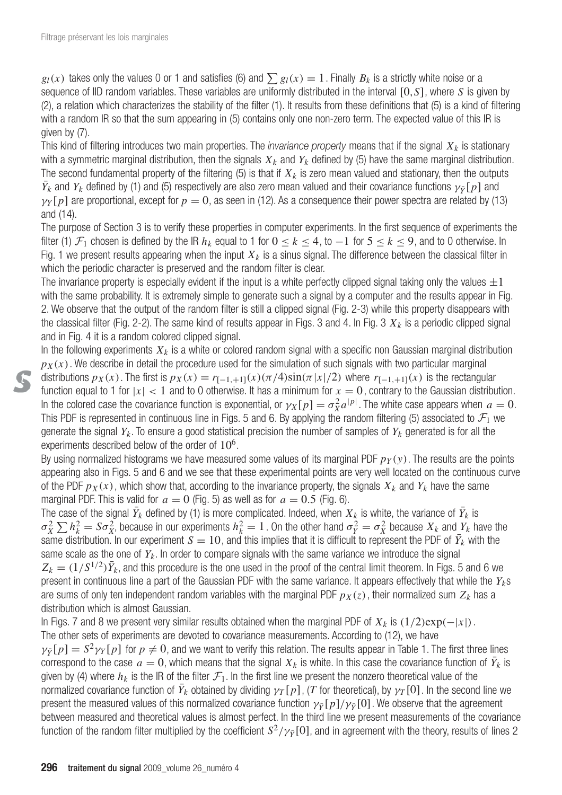$g_l(x)$  takes only the values 0 or 1 and satisfies (6) and  $\sum g_l(x) = 1$ . Finally  $B_k$  is a strictly white noise or a sequence of IID random variables. These variables are uniformly distributed in the interval [0,*S*], where *S* is given by (2), a relation which characterizes the stability of the filter (1). It results from these definitions that (5) is a kind of filtering with a random IR so that the sum appearing in (5) contains only one non-zero term. The expected value of this IR is given by (7).

This kind of filtering introduces two main properties. The *invariance property* means that if the signal  $X_k$  is stationary with a symmetric marginal distribution, then the signals  $X_k$  and  $Y_k$  defined by (5) have the same marginal distribution. The second fundamental property of the filtering (5) is that if  $X_k$  is zero mean valued and stationary, then the outputs  $\bar{Y}_k$  and  $Y_k$  defined by (1) and (5) respectively are also zero mean valued and their covariance functions  $\gamma_{\bar{Y}}[\rho]$  and  $\gamma_Y$ [p] are proportional, except for  $p=0$ , as seen in (12). As a consequence their power spectra are related by (13) and (14).

The purpose of Section 3 is to verify these properties in computer experiments. In the first sequence of experiments the filter (1)  $\mathcal{F}_1$  chosen is defined by the IR  $h_k$  equal to 1 for  $0 \le k \le 4$ , to  $-1$  for  $5 \le k \le 9$ , and to 0 otherwise. In Fig. 1 we present results appearing when the input  $X_k$  is a sinus signal. The difference between the classical filter in which the periodic character is preserved and the random filter is clear.

The invariance property is especially evident if the input is a white perfectly clipped signal taking only the values  $\pm 1$ with the same probability. It is extremely simple to generate such a signal by a computer and the results appear in Fig. 2. We observe that the output of the random filter is still a clipped signal (Fig. 2-3) while this property disappears with the classical filter (Fig. 2-2). The same kind of results appear in Figs. 3 and 4. In Fig. 3  $X_k$  is a periodic clipped signal and in Fig. 4 it is a random colored clipped signal.

In the following experiments  $X_k$  is a white or colored random signal with a specific non Gaussian marginal distribution  $p_X(x)$ . We describe in detail the procedure used for the simulation of such signals with two particular marginal distributions  $p_X(x)$ . The first is  $p_X(x) = r_{[-1, +1]}(x)(\pi/4)\sin(\pi|x|/2)$  where  $r_{[-1, +1]}(x)$  is the rectangular function equal to 1 for  $|x|$  < 1 and to 0 otherwise. It has a minimum for  $x = 0$ , contrary to the Gaussian distribution. In the colored case the covariance function is exponential, or  $\gamma_X[p] = \sigma_X^2 a^{|p|}$ . The white case appears when  $a=0$ . This PDF is represented in continuous line in Figs. 5 and 6. By applying the random filtering (5) associated to  $\mathcal{F}_1$  we generate the signal *Yk*. To ensure a good statistical precision the number of samples of *Yk* generated is for all the experiments described below of the order of  $10<sup>6</sup>$ .

By using normalized histograms we have measured some values of its marginal PDF  $p_Y(y)$ . The results are the points appearing also in Figs. 5 and 6 and we see that these experimental points are very well located on the continuous curve of the PDF  $p_X(x)$ , which show that, according to the invariance property, the signals  $X_k$  and  $Y_k$  have the same marginal PDF. This is valid for  $a = 0$  (Fig. 5) as well as for  $a = 0.5$  (Fig. 6).

The case of the signal  $\bar{Y}_k$  defined by (1) is more complicated. Indeed, when  $X_k$  is white, the variance of  $\bar{Y}_k$  is  $\sigma_X^2\sum h_k^2=S\sigma_X^2$ , because in our experiments  $h_k^2=1$  . On the other hand  $\sigma_Y^2=\sigma_X^2$  because  $X_k$  and  $Y_k$  have the same distribution. In our experiment  $S=10$ , and this implies that it is difficult to represent the PDF of  $\bar{Y}_k$  with the same scale as the one of  $Y_k$ . In order to compare signals with the same variance we introduce the signal  $Z_k = (1/S^{1/2})\bar{Y}_k$ , and this procedure is the one used in the proof of the central limit theorem. In Figs. 5 and 6 we present in continuous line a part of the Gaussian PDF with the same variance. It appears effectively that while the *Yk*s are sums of only ten independent random variables with the marginal PDF  $p_X(z)$ , their normalized sum  $Z_k$  has a distribution which is almost Gaussian.

In Figs. 7 and 8 we present very similar results obtained when the marginal PDF of *Xk* is (1/2)exp(−|*x*|). The other sets of experiments are devoted to covariance measurements. According to (12), we have  $\gamma_{\bar{Y}}[p] = S^2 \gamma_Y[p]$  for  $p \neq 0$ , and we want to verify this relation. The results appear in Table 1. The first three lines correspond to the case  $a=0$ , which means that the signal  $X_k$  is white. In this case the covariance function of  $\bar{Y}_k$  is given by (4) where  $h_k$  is the IR of the filter  $\mathcal{F}_1$ . In the first line we present the nonzero theoretical value of the normalized covariance function of  $\bar{Y}_k$  obtained by dividing  $\gamma_T[\![p]\!]$ , (T for theoretical), by  $\gamma_T[0]$ . In the second line we present the measured values of this normalized covariance function  $\gamma_{\bar{Y}}[p]/\gamma_{\bar{Y}}[0]$ . We observe that the agreement between measured and theoretical values is almost perfect. In the third line we present measurements of the covariance function of the random filter multiplied by the coefficient  $S^2/\gamma_{\bar{Y}}[0]$ , and in agreement with the theory, results of lines 2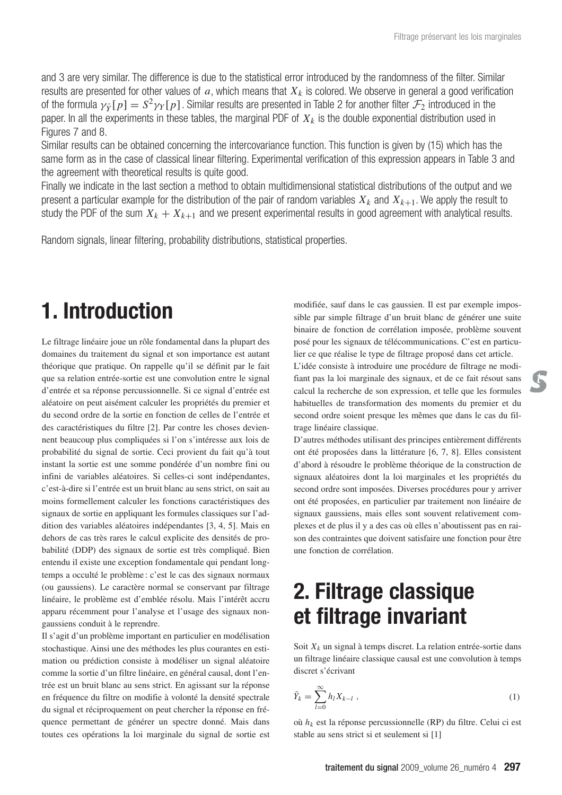and 3 are very similar. The difference is due to the statistical error introduced by the randomness of the filter. Similar results are presented for other values of  $a$ , which means that  $X_k$  is colored. We observe in general a good verification of the formula  $\gamma_{\bar{Y}}[p] = S^2 \gamma_Y[p]$ . Similar results are presented in Table 2 for another filter  $\mathcal{F}_2$  introduced in the paper. In all the experiments in these tables, the marginal PDF of  $X_k$  is the double exponential distribution used in Figures 7 and 8.

Similar results can be obtained concerning the intercovariance function. This function is given by (15) which has the same form as in the case of classical linear filtering. Experimental verification of this expression appears in Table 3 and the agreement with theoretical results is quite good.

Finally we indicate in the last section a method to obtain multidimensional statistical distributions of the output and we present a particular example for the distribution of the pair of random variables  $X_k$  and  $X_{k+1}$ . We apply the result to study the PDF of the sum  $X_k + X_{k+1}$  and we present experimental results in good agreement with analytical results.

Random signals, linear filtering, probability distributions, statistical properties.

# **1. Introduction**

Le filtrage linéaire joue un rôle fondamental dans la plupart des domaines du traitement du signal et son importance est autant théorique que pratique. On rappelle qu'il se définit par le fait que sa relation entrée-sortie est une convolution entre le signal d'entrée et sa réponse percussionnelle. Si ce signal d'entrée est aléatoire on peut aisément calculer les propriétés du premier et du second ordre de la sortie en fonction de celles de l'entrée et des caractéristiques du filtre [2]. Par contre les choses deviennent beaucoup plus compliquées si l'on s'intéresse aux lois de probabilité du signal de sortie. Ceci provient du fait qu'à tout instant la sortie est une somme pondérée d'un nombre fini ou infini de variables aléatoires. Si celles-ci sont indépendantes, c'est-à-dire si l'entrée est un bruit blanc au sens strict, on sait au moins formellement calculer les fonctions caractéristiques des signaux de sortie en appliquant les formules classiques sur l'addition des variables aléatoires indépendantes [3, 4, 5]. Mais en dehors de cas très rares le calcul explicite des densités de probabilité (DDP) des signaux de sortie est très compliqué. Bien entendu il existe une exception fondamentale qui pendant longtemps a occulté le problème : c'est le cas des signaux normaux (ou gaussiens). Le caractère normal se conservant par filtrage linéaire, le problème est d'emblée résolu. Mais l'intérêt accru apparu récemment pour l'analyse et l'usage des signaux nongaussiens conduit à le reprendre.

Il s'agit d'un problème important en particulier en modélisation stochastique. Ainsi une des méthodes les plus courantes en estimation ou prédiction consiste à modéliser un signal aléatoire comme la sortie d'un filtre linéaire, en général causal, dont l'entrée est un bruit blanc au sens strict. En agissant sur la réponse en fréquence du filtre on modifie à volonté la densité spectrale du signal et réciproquement on peut chercher la réponse en fréquence permettant de générer un spectre donné. Mais dans toutes ces opérations la loi marginale du signal de sortie est

modifiée, sauf dans le cas gaussien. Il est par exemple impossible par simple filtrage d'un bruit blanc de générer une suite binaire de fonction de corrélation imposée, problème souvent posé pour les signaux de télécommunications. C'est en particulier ce que réalise le type de filtrage proposé dans cet article.

L'idée consiste à introduire une procédure de filtrage ne modifiant pas la loi marginale des signaux, et de ce fait résout sans calcul la recherche de son expression, et telle que les formules habituelles de transformation des moments du premier et du second ordre soient presque les mêmes que dans le cas du filtrage linéaire classique.

D'autres méthodes utilisant des principes entièrement différents ont été proposées dans la littérature [6, 7, 8]. Elles consistent d'abord à résoudre le problème théorique de la construction de signaux aléatoires dont la loi marginales et les propriétés du second ordre sont imposées. Diverses procédures pour y arriver ont été proposées, en particulier par traitement non linéaire de signaux gaussiens, mais elles sont souvent relativement complexes et de plus il y a des cas où elles n'aboutissent pas en raison des contraintes que doivent satisfaire une fonction pour être une fonction de corrélation.

## **2. Filtrage classique et filtrage invariant**

Soit  $X_k$  un signal à temps discret. La relation entrée-sortie dans un filtrage linéaire classique causal est une convolution à temps discret s'écrivant

$$
\bar{Y}_k = \sum_{l=0}^{\infty} h_l X_{k-l} \tag{1}
$$

où *hk* est la réponse percussionnelle (RP) du filtre. Celui ci est stable au sens strict si et seulement si [1]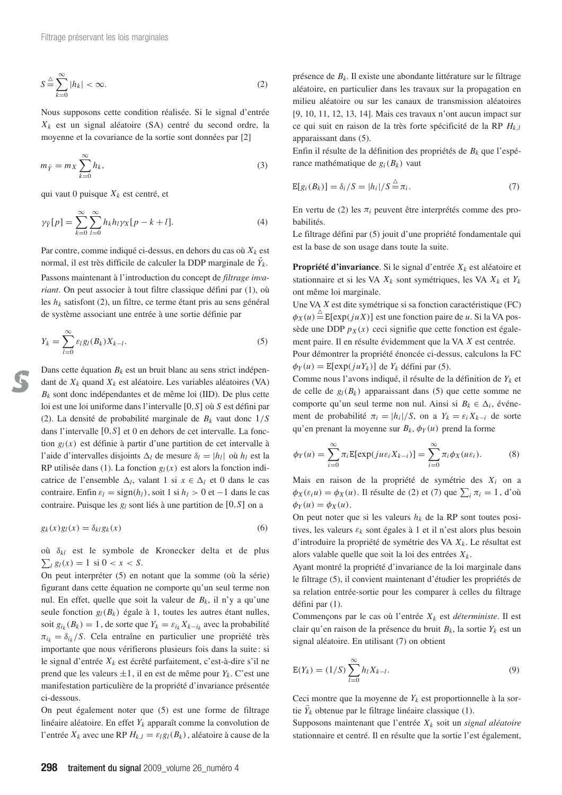$$
S \stackrel{\triangle}{=} \sum_{k=0}^{\infty} |h_k| < \infty. \tag{2}
$$

Nous supposons cette condition réalisée. Si le signal d'entrée *Xk* est un signal aléatoire (SA) centré du second ordre, la moyenne et la covariance de la sortie sont données par [2]

$$
m_{\bar{Y}} = m_X \sum_{k=0}^{\infty} h_k,
$$
\n(3)

qui vaut 0 puisque  $X_k$  est centré, et

$$
\gamma_{\bar{Y}}[p] = \sum_{k=0}^{\infty} \sum_{l=0}^{\infty} h_k h_l \gamma_X[p-k+l]. \tag{4}
$$

Par contre, comme indiqué ci-dessus, en dehors du cas où  $X_k$  est normal, il est très difficile de calculer la DDP marginale de  $\bar{Y}_k$ . Passons maintenant à l'introduction du concept de *filtrage invariant*. On peut associer à tout filtre classique défini par (1), où les *hk* satisfont (2), un filtre, ce terme étant pris au sens général de système associant une entrée à une sortie définie par

$$
Y_k = \sum_{l=0}^{\infty} \varepsilon_l g_l(B_k) X_{k-l}.
$$
\n(5)

Dans cette équation  $B_k$  est un bruit blanc au sens strict indépendant de *Xk* quand *Xk* est aléatoire. Les variables aléatoires (VA) *Bk* sont donc indépendantes et de même loi (IID). De plus cette loi est une loi uniforme dans l'intervalle [0,*S*] où *S* est défini par (2). La densité de probabilité marginale de *Bk* vaut donc 1/*S* dans l'intervalle [0,*S*] et 0 en dehors de cet intervalle. La fonction  $g_l(x)$  est définie à partir d'une partition de cet intervalle à l'aide d'intervalles disjoints  $\Delta_l$  de mesure  $\delta_l = |h_l|$  où  $h_l$  est la RP utilisée dans (1). La fonction  $g_l(x)$  est alors la fonction indicatrice de l'ensemble  $\Delta_l$ , valant 1 si  $x \in \Delta_l$  et 0 dans le cas contraire. Enfin  $\varepsilon_l = sign(h_l)$ , soit 1 si  $h_l > 0$  et -1 dans le cas contraire. Puisque les *gl* sont liés à une partition de [0,*S*] on a

$$
g_k(x)g_l(x) = \delta_{kl}g_k(x) \tag{6}
$$

où δ*kl* est le symbole de Kronecker delta et de plus  $\sum_{l} g_{l}(x) = 1$  si  $0 < x < S$ .

On peut interpréter (5) en notant que la somme (où la série) figurant dans cette équation ne comporte qu'un seul terme non nul. En effet, quelle que soit la valeur de  $B_k$ , il n'y a qu'une seule fonction  $g_l(B_k)$  égale à 1, toutes les autres étant nulles, soit  $g_{i_k}(B_k) = 1$ , de sorte que  $Y_k = \varepsilon_{i_k} X_{k-i_k}$  avec la probabilité  $\pi_{i_k} = \delta_{i_k}/S$ . Cela entraîne en particulier une propriété très importante que nous vérifierons plusieurs fois dans la suite : si le signal d'entrée *Xk* est écrêté parfaitement, c'est-à-dire s'il ne prend que les valeurs  $\pm 1$ , il en est de même pour  $Y_k$ . C'est une manifestation particulière de la propriété d'invariance présentée ci-dessous.

On peut également noter que (5) est une forme de filtrage linéaire aléatoire. En effet *Yk* apparaît comme la convolution de l'entrée  $X_k$  avec une RP  $H_{k,l} = \varepsilon_l g_l(B_k)$ , aléatoire à cause de la présence de *Bk*. Il existe une abondante littérature sur le filtrage aléatoire, en particulier dans les travaux sur la propagation en milieu aléatoire ou sur les canaux de transmission aléatoires [9, 10, 11, 12, 13, 14]. Mais ces travaux n'ont aucun impact sur ce qui suit en raison de la très forte spécificité de la RP *Hk*,*<sup>l</sup>* apparaissant dans (5).

Enfin il résulte de la définition des propriétés de *Bk* que l'espérance mathématique de  $g_i(B_k)$  vaut

$$
E[g_i(B_k)] = \delta_i / S = |h_i| / S \stackrel{\triangle}{=} \pi_i.
$$
 (7)

En vertu de  $(2)$  les  $\pi_i$  peuvent être interprétés comme des probabilités.

Le filtrage défini par (5) jouit d'une propriété fondamentale qui est la base de son usage dans toute la suite.

**Propriété d'invariance**. Si le signal d'entrée  $X_k$  est aléatoire et stationnaire et si les VA *Xk* sont symétriques, les VA *Xk* et *Yk* ont même loi marginale.

Une VA *X* est dite symétrique si sa fonction caractéristique (FC)  $\phi_X(u) \stackrel{\triangle}{=} E[exp(juX)]$  est une fonction paire de *u*. Si la VA possède une DDP  $p_X(x)$  ceci signifie que cette fonction est également paire. Il en résulte évidemment que la VA *X* est centrée.

Pour démontrer la propriété énoncée ci-dessus, calculons la FC  $\phi_Y(u) = \mathbb{E}[\exp(juY_k)]$  de  $Y_k$  défini par (5).

Comme nous l'avons indiqué, il résulte de la définition de *Yk* et de celle de  $g_l(B_k)$  apparaissant dans (5) que cette somme ne comporte qu'un seul terme non nul. Ainsi si  $B_k \in \Delta_i$ , événement de probabilité  $\pi_i = |h_i|/S$ , on a  $Y_k = \varepsilon_i X_{k-i}$  de sorte qu'en prenant la moyenne sur  $B_k$ ,  $\phi_Y(u)$  prend la forme

$$
\phi_Y(u) = \sum_{i=0}^{\infty} \pi_i \mathbb{E}[\exp(ju\varepsilon_i X_{k-i})] = \sum_{i=0}^{\infty} \pi_i \phi_X(u\varepsilon_i). \tag{8}
$$

Mais en raison de la propriété de symétrie des *Xi* on a  $\phi_X(\varepsilon_i u) = \phi_X(u)$ . Il résulte de (2) et (7) que  $\sum_i \pi_i = 1$ , d'où  $\phi_Y(u) = \phi_X(u)$ .

On peut noter que si les valeurs *hk* de la RP sont toutes positives, les valeurs ε*<sup>k</sup>* sont égales à 1 et il n'est alors plus besoin d'introduire la propriété de symétrie des VA *Xk*. Le résultat est alors valable quelle que soit la loi des entrées *Xk*.

Ayant montré la propriété d'invariance de la loi marginale dans le filtrage (5), il convient maintenant d'étudier les propriétés de sa relation entrée-sortie pour les comparer à celles du filtrage défini par (1).

Commençons par le cas où l'entrée *Xk* est *déterministe*. Il est clair qu'en raison de la présence du bruit  $B_k$ , la sortie  $Y_k$  est un signal aléatoire. En utilisant (7) on obtient

$$
E(Y_k) = (1/S) \sum_{l=0}^{\infty} h_l X_{k-l}.
$$
 (9)

Ceci montre que la moyenne de *Yk* est proportionnelle à la sortie  $\bar{Y}_k$  obtenue par le filtrage linéaire classique (1).

Supposons maintenant que l'entrée *Xk* soit un *signal aléatoire* stationnaire et centré. Il en résulte que la sortie l'est également,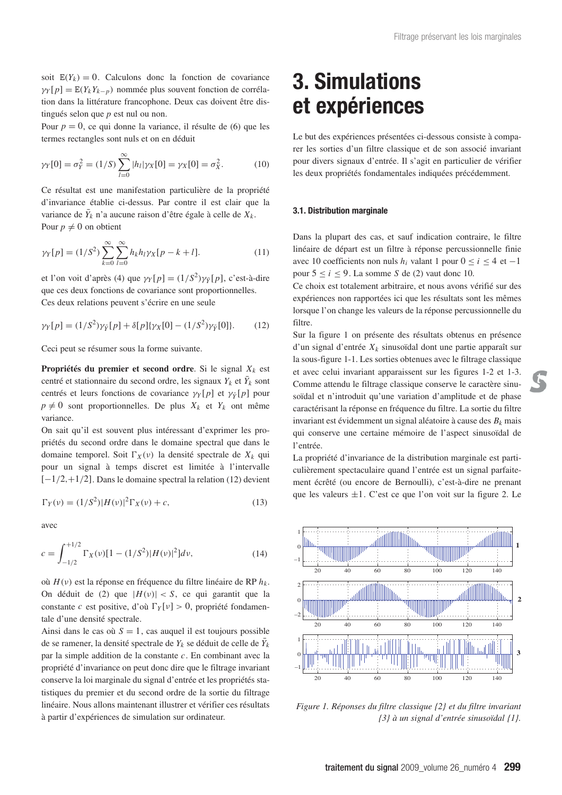soit  $E(Y_k) = 0$ . Calculons donc la fonction de covariance  $\gamma_Y$ [ $p$ ] = E( $Y_k Y_{k-p}$ ) nommée plus souvent fonction de corrélation dans la littérature francophone. Deux cas doivent être distingués selon que *p* est nul ou non.

Pour *p* = 0, ce qui donne la variance, il résulte de (6) que les termes rectangles sont nuls et on en déduit

$$
\gamma_Y[0] = \sigma_Y^2 = (1/S) \sum_{l=0}^{\infty} |h_l| \gamma_X[0] = \gamma_X[0] = \sigma_X^2.
$$
 (10)

Ce résultat est une manifestation particulière de la propriété d'invariance établie ci-dessus. Par contre il est clair que la variance de  $\bar{Y}_k$  n'a aucune raison d'être égale à celle de  $X_k$ . Pour  $p \neq 0$  on obtient

$$
\gamma_Y[p] = (1/S^2) \sum_{k=0}^{\infty} \sum_{l=0}^{\infty} h_k h_l \gamma_X[p-k+l].
$$
 (11)

et l'on voit d'après (4) que  $\gamma_Y[p] = (1/S^2)\gamma_{\bar{Y}}[p]$ , c'est-à-dire que ces deux fonctions de covariance sont proportionnelles. Ces deux relations peuvent s'écrire en une seule

$$
\gamma_Y[p] = (1/S^2)\gamma_{\bar{Y}}[p] + \delta[p]\{\gamma_X[0] - (1/S^2)\gamma_{\bar{Y}}[0]\}.
$$
 (12)

Ceci peut se résumer sous la forme suivante.

**Propriétés du premier et second ordre**. Si le signal *Xk* est centré et stationnaire du second ordre, les signaux  $Y_k$  et  $\bar{Y}_k$  sont centrés et leurs fonctions de covariance  $\gamma_Y[p]$  et  $\gamma_{\bar{Y}}[p]$  pour  $p \neq 0$  sont proportionnelles. De plus  $X_k$  et  $Y_k$  ont même variance.

On sait qu'il est souvent plus intéressant d'exprimer les propriétés du second ordre dans le domaine spectral que dans le domaine temporel. Soit  $\Gamma_X(v)$  la densité spectrale de  $X_k$  qui pour un signal à temps discret est limitée à l'intervalle [−1/2,+1/2]. Dans le domaine spectral la relation (12) devient

$$
\Gamma_Y(\nu) = (1/S^2)|H(\nu)|^2 \Gamma_X(\nu) + c,\tag{13}
$$

avec

$$
c = \int_{-1/2}^{+1/2} \Gamma_X(\nu) [1 - (1/S^2)|H(\nu)|^2] d\nu,
$$
\n(14)

où *H*(ν) est la réponse en fréquence du filtre linéaire de RP *hk*. On déduit de  $(2)$  que  $|H(v)| < S$ , ce qui garantit que la constante *c* est positive, d'où  $\Gamma_Y[v] > 0$ , propriété fondamentale d'une densité spectrale.

Ainsi dans le cas où  $S = 1$ , cas auquel il est toujours possible de se ramener, la densité spectrale de  $Y_k$  se déduit de celle de  $\bar{Y}_k$ par la simple addition de la constante *c*. En combinant avec la propriété d'invariance on peut donc dire que le filtrage invariant conserve la loi marginale du signal d'entrée et les propriétés statistiques du premier et du second ordre de la sortie du filtrage linéaire. Nous allons maintenant illustrer et vérifier ces résultats à partir d'expériences de simulation sur ordinateur.

### **3. Simulations et expériences**

Le but des expériences présentées ci-dessous consiste à comparer les sorties d'un filtre classique et de son associé invariant pour divers signaux d'entrée. Il s'agit en particulier de vérifier les deux propriétés fondamentales indiquées précédemment.

#### **3.1. Distribution marginale**

Dans la plupart des cas, et sauf indication contraire, le filtre linéaire de départ est un filtre à réponse percussionnelle finie avec 10 coefficients non nuls  $h_i$  valant 1 pour  $0 \le i \le 4$  et −1 pour  $5 \le i \le 9$ . La somme *S* de (2) vaut donc 10.

Ce choix est totalement arbitraire, et nous avons vérifié sur des expériences non rapportées ici que les résultats sont les mêmes lorsque l'on change les valeurs de la réponse percussionnelle du filtre.

Sur la figure 1 on présente des résultats obtenus en présence d'un signal d'entrée  $X_k$  sinusoïdal dont une partie apparaît sur la sous-figure 1-1. Les sorties obtenues avec le filtrage classique et avec celui invariant apparaissent sur les figures 1-2 et 1-3. Comme attendu le filtrage classique conserve le caractère sinusoïdal et n'introduit qu'une variation d'amplitude et de phase caractérisant la réponse en fréquence du filtre. La sortie du filtre invariant est évidemment un signal aléatoire à cause des *Bk* mais qui conserve une certaine mémoire de l'aspect sinusoïdal de l'entrée.

La propriété d'invariance de la distribution marginale est particulièrement spectaculaire quand l'entrée est un signal parfaitement écrêté (ou encore de Bernoulli), c'est-à-dire ne prenant que les valeurs  $\pm 1$ . C'est ce que l'on voit sur la figure 2. Le



*Figure 1. Réponses du filtre classique {2} et du filtre invariant {3} à un signal d'entrée sinusoïdal {1}.*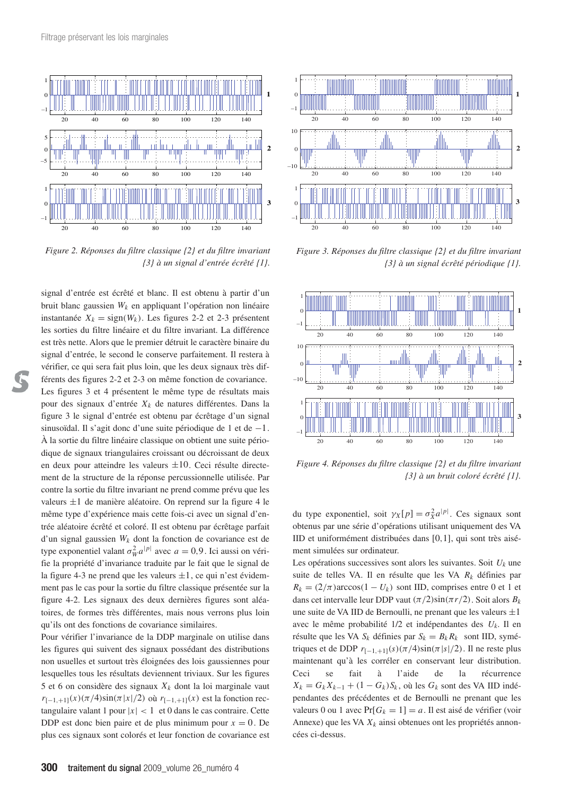

*Figure 2. Réponses du filtre classique {2} et du filtre invariant {3} à un signal d'entrée écrêté {1}.*

signal d'entrée est écrêté et blanc. Il est obtenu à partir d'un bruit blanc gaussien *Wk* en appliquant l'opération non linéaire instantanée  $X_k = sign(W_k)$ . Les figures 2-2 et 2-3 présentent les sorties du filtre linéaire et du filtre invariant. La différence est très nette. Alors que le premier détruit le caractère binaire du signal d'entrée, le second le conserve parfaitement. Il restera à vérifier, ce qui sera fait plus loin, que les deux signaux très différents des figures 2-2 et 2-3 on même fonction de covariance. Les figures 3 et 4 présentent le même type de résultats mais pour des signaux d'entrée *Xk* de natures différentes. Dans la figure 3 le signal d'entrée est obtenu par écrêtage d'un signal sinusoïdal. Il s'agit donc d'une suite périodique de 1 et de −1. À la sortie du filtre linéaire classique on obtient une suite périodique de signaux triangulaires croissant ou décroissant de deux en deux pour atteindre les valeurs  $\pm 10$ . Ceci résulte directement de la structure de la réponse percussionnelle utilisée. Par contre la sortie du filtre invariant ne prend comme prévu que les valeurs ±1 de manière aléatoire. On reprend sur la figure 4 le même type d'expérience mais cette fois-ci avec un signal d'entrée aléatoire écrêté et coloré. Il est obtenu par écrêtage parfait d'un signal gaussien  $W_k$  dont la fonction de covariance est de type exponentiel valant  $\sigma_W^2 a^{|p|}$  avec  $a = 0.9$ . Ici aussi on vérifie la propriété d'invariance traduite par le fait que le signal de la figure 4-3 ne prend que les valeurs  $\pm 1$ , ce qui n'est évidemment pas le cas pour la sortie du filtre classique présentée sur la figure 4-2. Les signaux des deux dernières figures sont aléatoires, de formes très différentes, mais nous verrons plus loin qu'ils ont des fonctions de covariance similaires.

Pour vérifier l'invariance de la DDP marginale on utilise dans les figures qui suivent des signaux possédant des distributions non usuelles et surtout très éloignées des lois gaussiennes pour lesquelles tous les résultats deviennent triviaux. Sur les figures 5 et 6 on considère des signaux  $X_k$  dont la loi marginale vaut  $r_{[-1,+1]}(x)(\pi/4)\sin(\pi|x|/2)$  où  $r_{[-1,+1]}(x)$  est la fonction rectangulaire valant 1 pour  $|x| < 1$  et 0 dans le cas contraire. Cette DDP est donc bien paire et de plus minimum pour  $x = 0$ . De plus ces signaux sont colorés et leur fonction de covariance est



*Figure 3. Réponses du filtre classique {2} et du filtre invariant {3} à un signal écrêté périodique {1}.*



*Figure 4. Réponses du filtre classique {2} et du filtre invariant {3} à un bruit coloré écrêté {1}.*

du type exponentiel, soit  $\gamma_X[p] = \sigma_X^2 a^{|p|}$ . Ces signaux sont obtenus par une série d'opérations utilisant uniquement des VA IID et uniformément distribuées dans [0,1], qui sont très aisément simulées sur ordinateur.

Les opérations successives sont alors les suivantes. Soit *Uk* une suite de telles VA. Il en résulte que les VA *Rk* définies par  $R_k = (2/\pi)\arccos(1 - U_k)$  sont IID, comprises entre 0 et 1 et dans cet intervalle leur DDP vaut  $(\pi/2)\sin(\pi r/2)$ . Soit alors  $B_k$ une suite de VA IID de Bernoulli, ne prenant que les valeurs  $\pm 1$ avec le même probabilité 1/2 et indépendantes des *Uk*. Il en résulte que les VA  $S_k$  définies par  $S_k = B_k R_k$  sont IID, symétriques et de DDP  $r_{[-1,+1]}(s)(\pi/4)\sin(\pi|s|/2)$ . Il ne reste plus maintenant qu'à les corréler en conservant leur distribution. Ceci se fait à l'aide de la récurrence  $X_k = G_k X_{k-1} + (1 - G_k) S_k$ , où les  $G_k$  sont des VA IID indépendantes des précédentes et de Bernoulli ne prenant que les valeurs 0 ou 1 avec  $Pr[G_k = 1] = a$ . Il est aisé de vérifier (voir Annexe) que les VA  $X_k$  ainsi obtenues ont les propriétés annoncées ci-dessus.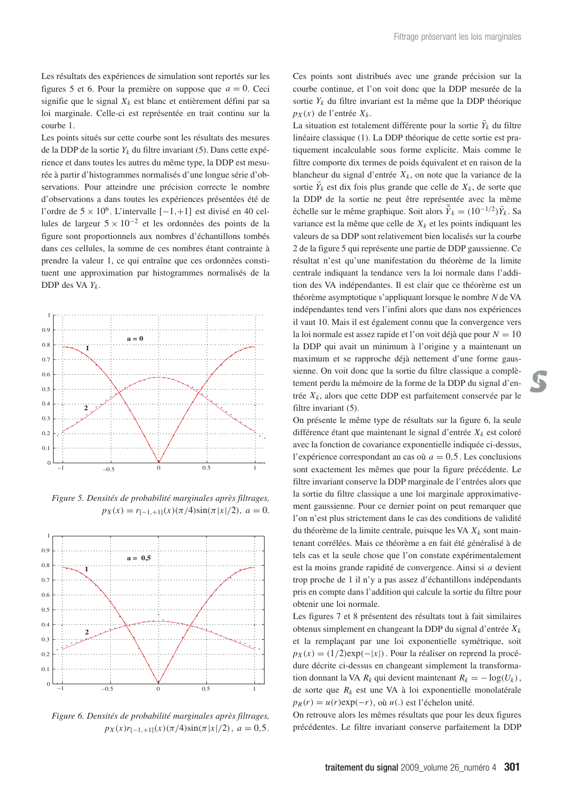Les résultats des expériences de simulation sont reportés sur les figures 5 et 6. Pour la première on suppose que  $a = 0$ . Ceci signifie que le signal  $X_k$  est blanc et entièrement défini par sa loi marginale. Celle-ci est représentée en trait continu sur la courbe 1.

Les points situés sur cette courbe sont les résultats des mesures de la DDP de la sortie *Yk* du filtre invariant (5). Dans cette expérience et dans toutes les autres du même type, la DDP est mesurée à partir d'histogrammes normalisés d'une longue série d'observations. Pour atteindre une précision correcte le nombre d'observations a dans toutes les expériences présentées été de l'ordre de 5 × 106 . L'intervalle [−1,+1] est divisé en 40 cellules de largeur  $5 \times 10^{-2}$  et les ordonnées des points de la figure sont proportionnels aux nombres d'échantillons tombés dans ces cellules, la somme de ces nombres étant contrainte à prendre la valeur 1, ce qui entraîne que ces ordonnées constituent une approximation par histogrammes normalisés de la DDP des VA *Yk*.



*Figure 5. Densités de probabilité marginales après filtrages,*  $p_X(x) = r_{[-1, +1]}(x) (\pi/4) \sin(\pi |x|/2), a = 0.$ 



*Figure 6. Densités de probabilité marginales après filtrages,*  $p_X(x)r_{[-1,+1]}(x)(\pi/4)\sin(\pi|x|/2), a = 0,5.$ 

Ces points sont distribués avec une grande précision sur la courbe continue, et l'on voit donc que la DDP mesurée de la sortie *Yk* du filtre invariant est la même que la DDP théorique  $p_X(x)$  de l'entrée  $X_k$ .

La situation est totalement différente pour la sortie  $\bar{Y}_k$  du filtre linéaire classique (1). La DDP théorique de cette sortie est pratiquement incalculable sous forme explicite. Mais comme le filtre comporte dix termes de poids équivalent et en raison de la blancheur du signal d'entrée  $X_k$ , on note que la variance de la sortie  $\bar{Y}_k$  est dix fois plus grande que celle de  $X_k$ , de sorte que la DDP de la sortie ne peut être représentée avec la même échelle sur le même graphique. Soit alors  $\bar{Y}_k = (10^{-1/2})\bar{Y}_k$ . Sa variance est la même que celle de  $X_k$  et les points indiquant les valeurs de sa DDP sont relativement bien localisés sur la courbe 2 de la figure 5 qui représente une partie de DDP gaussienne. Ce résultat n'est qu'une manifestation du théorème de la limite centrale indiquant la tendance vers la loi normale dans l'addition des VA indépendantes. Il est clair que ce théorème est un théorème asymptotique s'appliquant lorsque le nombre *N* de VA indépendantes tend vers l'infini alors que dans nos expériences il vaut 10. Mais il est également connu que la convergence vers la loi normale est assez rapide et l'on voit déjà que pour  $N = 10$ la DDP qui avait un minimum à l'origine y a maintenant un maximum et se rapproche déjà nettement d'une forme gaussienne. On voit donc que la sortie du filtre classique a complètement perdu la mémoire de la forme de la DDP du signal d'entrée *Xk*, alors que cette DDP est parfaitement conservée par le filtre invariant (5).

On présente le même type de résultats sur la figure 6, la seule différence étant que maintenant le signal d'entrée  $X_k$  est coloré avec la fonction de covariance exponentielle indiquée ci-dessus, l'expérience correspondant au cas où  $a = 0.5$ . Les conclusions sont exactement les mêmes que pour la figure précédente. Le filtre invariant conserve la DDP marginale de l'entrées alors que la sortie du filtre classique a une loi marginale approximativement gaussienne. Pour ce dernier point on peut remarquer que l'on n'est plus strictement dans le cas des conditions de validité du théorème de la limite centrale, puisque les VA  $X_k$  sont maintenant corrélées. Mais ce théorème a en fait été généralisé à de tels cas et la seule chose que l'on constate expérimentalement est la moins grande rapidité de convergence. Ainsi si *a* devient trop proche de 1 il n'y a pas assez d'échantillons indépendants pris en compte dans l'addition qui calcule la sortie du filtre pour obtenir une loi normale.

Les figures 7 et 8 présentent des résultats tout à fait similaires obtenus simplement en changeant la DDP du signal d'entrée *Xk* et la remplaçant par une loi exponentielle symétrique, soit  $p_X(x) = (1/2) \exp(-|x|)$ . Pour la réaliser on reprend la procédure décrite ci-dessus en changeant simplement la transformation donnant la VA  $R_k$  qui devient maintenant  $R_k = -\log(U_k)$ , de sorte que  $R_k$  est une VA à loi exponentielle monolatérale  $p_R(r) = u(r) \exp(-r)$ , où  $u(.)$  est l'échelon unité.

On retrouve alors les mêmes résultats que pour les deux figures précédentes. Le filtre invariant conserve parfaitement la DDP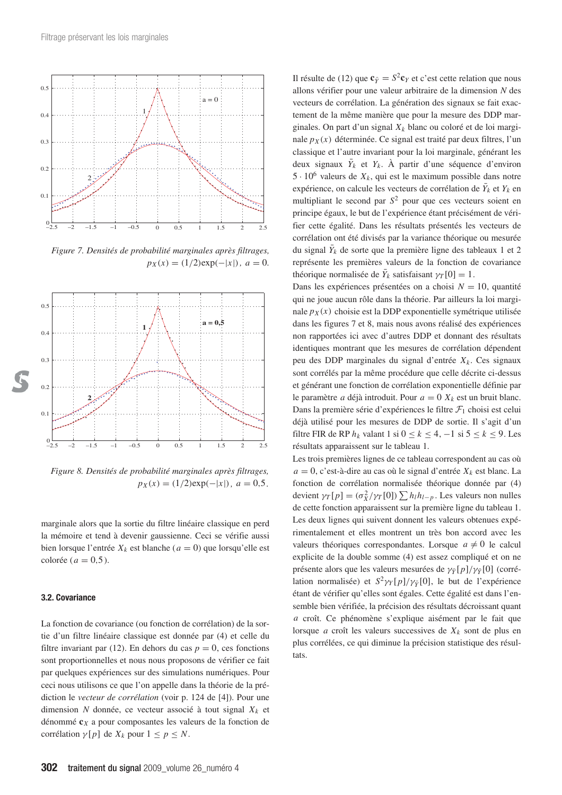

*Figure 7. Densités de probabilité marginales après filtrages,*  $p_X(x) = (1/2) \exp(-|x|), a = 0.$ 



*Figure 8. Densités de probabilité marginales après filtrages,*  $p_X(x) = (1/2) \exp(-|x|), a = 0.5.$ 

marginale alors que la sortie du filtre linéaire classique en perd la mémoire et tend à devenir gaussienne. Ceci se vérifie aussi bien lorsque l'entrée  $X_k$  est blanche ( $a = 0$ ) que lorsqu'elle est colorée ( $a = 0.5$ ).

#### **3.2. Covariance**

La fonction de covariance (ou fonction de corrélation) de la sortie d'un filtre linéaire classique est donnée par (4) et celle du filtre invariant par (12). En dehors du cas  $p = 0$ , ces fonctions sont proportionnelles et nous nous proposons de vérifier ce fait par quelques expériences sur des simulations numériques. Pour ceci nous utilisons ce que l'on appelle dans la théorie de la prédiction le *vecteur de corrélation* (voir p. 124 de [4]). Pour une dimension *N* donnée, ce vecteur associé à tout signal  $X_k$  et dénommé **c***<sup>X</sup>* a pour composantes les valeurs de la fonction de corrélation  $\gamma[p]$  de  $X_k$  pour  $1 \leq p \leq N$ .

Il résulte de (12) que  $\mathbf{c}_{\bar{Y}} = S^2 \mathbf{c}_Y$  et c'est cette relation que nous allons vérifier pour une valeur arbitraire de la dimension *N* des vecteurs de corrélation. La génération des signaux se fait exactement de la même manière que pour la mesure des DDP marginales. On part d'un signal *Xk* blanc ou coloré et de loi marginale  $p_X(x)$  déterminée. Ce signal est traité par deux filtres, l'un classique et l'autre invariant pour la loi marginale, générant les deux signaux  $\bar{Y}_k$  et  $Y_k$ . À partir d'une séquence d'environ  $5 \cdot 10^6$  valeurs de  $X_k$ , qui est le maximum possible dans notre expérience, on calcule les vecteurs de corrélation de  $\bar{Y}_k$  et  $Y_k$  en multipliant le second par *S*<sup>2</sup> pour que ces vecteurs soient en principe égaux, le but de l'expérience étant précisément de vérifier cette égalité. Dans les résultats présentés les vecteurs de corrélation ont été divisés par la variance théorique ou mesurée du signal  $\bar{Y}_k$  de sorte que la première ligne des tableaux 1 et 2 représente les premières valeurs de la fonction de covariance théorique normalisée de  $\bar{Y}_k$  satisfaisant  $\gamma_T[0] = 1$ .

Dans les expériences présentées on a choisi  $N = 10$ , quantité qui ne joue aucun rôle dans la théorie. Par ailleurs la loi marginale  $p_X(x)$  choisie est la DDP exponentielle symétrique utilisée dans les figures 7 et 8, mais nous avons réalisé des expériences non rapportées ici avec d'autres DDP et donnant des résultats identiques montrant que les mesures de corrélation dépendent peu des DDP marginales du signal d'entrée *Xk*. Ces signaux sont corrélés par la même procédure que celle décrite ci-dessus et générant une fonction de corrélation exponentielle définie par le paramètre *a* déjà introduit. Pour  $a = 0$   $X_k$  est un bruit blanc. Dans la première série d'expériences le filtre  $\mathcal{F}_1$  choisi est celui déjà utilisé pour les mesures de DDP de sortie. Il s'agit d'un filtre FIR de RP  $h_k$  valant 1 si  $0 \le k \le 4, -1$  si  $5 \le k \le 9$ . Les résultats apparaissent sur le tableau 1.

Les trois premières lignes de ce tableau correspondent au cas où  $a = 0$ , c'est-à-dire au cas où le signal d'entrée  $X_k$  est blanc. La fonction de corrélation normalisée théorique donnée par (4) devient  $\gamma_T[p] = (\sigma_X^2/\gamma_T[0]) \sum h_l h_{l-p}$ . Les valeurs non nulles de cette fonction apparaissent sur la première ligne du tableau 1. Les deux lignes qui suivent donnent les valeurs obtenues expérimentalement et elles montrent un très bon accord avec les valeurs théoriques correspondantes. Lorsque  $a \neq 0$  le calcul explicite de la double somme (4) est assez compliqué et on ne présente alors que les valeurs mesurées de γ*Y*¯ [*p*]/γ*Y*¯ [0] (corrélation normalisée) et  $S^2 \gamma_Y[p]/\gamma_{\bar{Y}}[0]$ , le but de l'expérience étant de vérifier qu'elles sont égales. Cette égalité est dans l'ensemble bien vérifiée, la précision des résultats décroissant quant *a* croît. Ce phénomène s'explique aisément par le fait que lorsque *a* croît les valeurs successives de  $X_k$  sont de plus en plus corrélées, ce qui diminue la précision statistique des résultats.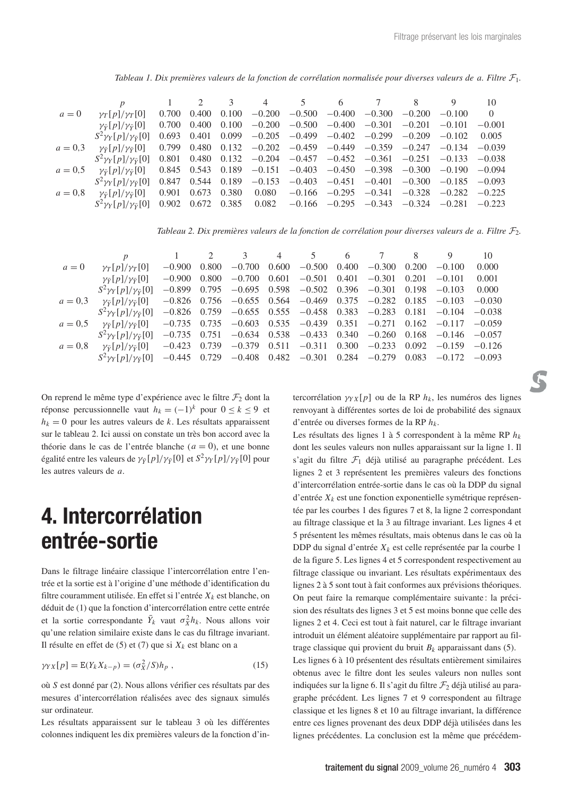*Tableau 1. Dix premières valeurs de la fonction de corrélation normalisée pour diverses valeurs de a. Filtre* F1*.*

|           | p                                         |       | $1 \quad 2 \quad 3$     |       |          | 4 5                                                                  | $6\overline{6}$ | $\overline{7}$             | 8        | 9               | 10       |
|-----------|-------------------------------------------|-------|-------------------------|-------|----------|----------------------------------------------------------------------|-----------------|----------------------------|----------|-----------------|----------|
| $a=0$     | $\gamma_T[p]/\gamma_T[0]$                 | 0.700 | 0.400                   | 0.100 | $-0.200$ |                                                                      |                 | $-0.500$ $-0.400$ $-0.300$ | $-0.200$ | $-0.100$        | $\theta$ |
|           | $\gamma_{\bar{Y}}[p]/\gamma_{\bar{Y}}[0]$ | 0.700 | 0.400                   | 0.100 |          | $-0.200$ $-0.500$ $-0.400$ $-0.301$                                  |                 |                            | $-0.201$ | $-0.101$        | $-0.001$ |
|           | $S^2 \gamma_Y [p]/\gamma_{\bar{Y}}[0]$    | 0.693 | 0.401                   |       |          | $0.099 -0.205 -0.499 -0.402 -0.299$                                  |                 |                            | $-0.209$ | $-0.102$        | 0.005    |
| $a = 0,3$ | $\gamma_{\bar{Y}}[p]/\gamma_{\bar{Y}}[0]$ | 0.799 | 0.480                   |       |          | $0.132$ $-0.202$ $-0.459$ $-0.449$ $-0.359$ $-0.247$                 |                 |                            |          | $-0.134$        | $-0.039$ |
|           | $S^2 \gamma_Y[p]/\gamma_{\bar{Y}}[0]$     | 0.801 |                         |       |          | $0.480$ $0.132$ $-0.204$ $-0.457$ $-0.452$ $-0.361$ $-0.251$         |                 |                            |          | $-0.133 -0.038$ |          |
| $a = 0.5$ | $\gamma_{\bar{Y}}[p]/\gamma_{\bar{Y}}[0]$ |       |                         |       |          | $0.845$ $0.543$ $0.189$ $-0.151$ $-0.403$ $-0.450$ $-0.398$ $-0.300$ |                 |                            |          | $-0.190 -0.094$ |          |
|           | $S^2 \gamma_Y[p]/\gamma_{\bar{Y}}[0]$     |       | $0.847$ $0.544$ $0.189$ |       |          | $-0.153$ $-0.403$ $-0.451$ $-0.401$                                  |                 |                            | $-0.300$ | $-0.185 -0.093$ |          |
| $a = 0.8$ | $\gamma_{\bar{Y}}[p]/\gamma_{\bar{Y}}[0]$ | 0.901 | 0.673                   | 0.380 | 0.080    | $-0.166$ $-0.295$ $-0.341$                                           |                 |                            | $-0.328$ | $-0.282$        | $-0.225$ |
|           | $S^2 \gamma_Y [p]/\gamma_{\bar{Y}}[0]$    |       | $0.902 \quad 0.672$     | 0.385 | 0.082    | $-0.166$ $-0.295$ $-0.343$ $-0.324$ $-0.281$                         |                 |                            |          |                 | $-0.223$ |
|           |                                           |       |                         |       |          |                                                                      |                 |                            |          |                 |          |

*Tableau 2. Dix premières valeurs de la fonction de corrélation pour diverses valeurs de a. Filtre*  $\mathcal{F}_2$ *.* 

|           | $\boldsymbol{p}$                          |                      |       |          |                      | 1 2 3 4 5 6 7 8 9                                                            |       |                                                                                       | 10    |
|-----------|-------------------------------------------|----------------------|-------|----------|----------------------|------------------------------------------------------------------------------|-------|---------------------------------------------------------------------------------------|-------|
| $a=0$     | $\gamma_T[p]/\gamma_T[0]$                 | $-0.900$             | 0.800 | $-0.700$ | $0.600 -0.500 0.400$ | $-0.300$                                                                     | 0.200 | $-0.100$                                                                              | 0.000 |
|           | $\gamma_{\bar{Y}}[p]/\gamma_{\bar{Y}}[0]$ | $-0.900 \quad 0.800$ |       |          |                      | $-0.700$ $0.601$ $-0.501$ $0.401$ $-0.301$ $0.201$                           |       | $-0.101$                                                                              | 0.001 |
|           | $S^2 \gamma_Y[p]/\gamma_{\bar{Y}}[0]$     |                      |       |          |                      | $-0.899$ $0.795$ $-0.695$ $0.598$ $-0.502$ $0.396$ $-0.301$ $0.198$ $-0.103$ |       |                                                                                       | 0.000 |
| $a = 0.3$ | $\nu_{\bar{v}}[p]/\nu_{\bar{v}}[0]$       |                      |       |          |                      |                                                                              |       | $-0.826$ 0.756 $-0.655$ 0.564 $-0.469$ 0.375 $-0.282$ 0.185 $-0.103$ $-0.030$         |       |
|           | $S^2 \gamma_Y[p]/\gamma_{\bar{Y}}[0]$     |                      |       |          |                      |                                                                              |       | $-0.826$ 0.759 $-0.655$ 0.555 $-0.458$ 0.383 $-0.283$ 0.181 $-0.104$ $-0.038$         |       |
| $a = 0.5$ | $\nu_{\bar{v}}[p]/\nu_{\bar{v}}[0]$       |                      |       |          |                      |                                                                              |       | $-0.735$ $0.735$ $-0.603$ $0.535$ $-0.439$ $0.351$ $-0.271$ $0.162$ $-0.117$ $-0.059$ |       |
|           | $S^2 \gamma_Y [p]/\gamma_{\bar{Y}}[0]$    |                      |       |          |                      |                                                                              |       | $-0.735$ $0.751$ $-0.634$ $0.538$ $-0.433$ $0.340$ $-0.260$ $0.168$ $-0.146$ $-0.057$ |       |
| $a = 0.8$ | $\gamma_{\bar{Y}}[p]/\gamma_{\bar{Y}}[0]$ |                      |       |          |                      |                                                                              |       | $-0.423$ $0.739$ $-0.379$ $0.511$ $-0.311$ $0.300$ $-0.233$ $0.092$ $-0.159$ $-0.126$ |       |
|           | $S^2 \gamma_Y [p]/\gamma_{\bar{Y}} [0]$   |                      |       |          |                      |                                                                              |       | $-0.445$ $0.729$ $-0.408$ $0.482$ $-0.301$ $0.284$ $-0.279$ $0.083$ $-0.172$ $-0.093$ |       |
|           |                                           |                      |       |          |                      |                                                                              |       |                                                                                       |       |

On reprend le même type d'expérience avec le filtre  $\mathcal{F}_2$  dont la réponse percussionnelle vaut  $h_k = (-1)^k$  pour  $0 \le k \le 9$  et  $h_k = 0$  pour les autres valeurs de *k*. Les résultats apparaissent sur le tableau 2. Ici aussi on constate un très bon accord avec la théorie dans le cas de l'entrée blanche (*a* = 0), et une bonne égalité entre les valeurs de  $\gamma_{\bar{Y}}[p]/\gamma_{\bar{Y}}[0]$  et  $S^2 \gamma_Y[p]/\gamma_{\bar{Y}}[0]$  pour les autres valeurs de *a*.

### **4. Intercorrélation entrée-sortie**

Dans le filtrage linéaire classique l'intercorrélation entre l'entrée et la sortie est à l'origine d'une méthode d'identification du filtre couramment utilisée. En effet si l'entrée *Xk* est blanche, on déduit de (1) que la fonction d'intercorrélation entre cette entrée et la sortie correspondante  $\bar{Y}_k$  vaut  $\sigma_X^2 h_k$ . Nous allons voir qu'une relation similaire existe dans le cas du filtrage invariant. Il résulte en effet de  $(5)$  et  $(7)$  que si  $X_k$  est blanc on a

$$
\gamma_{YX}[p] = \mathbb{E}(Y_k X_{k-p}) = (\sigma_X^2 / S)h_p , \qquad (15)
$$

où *S* est donné par (2). Nous allons vérifier ces résultats par des mesures d'intercorrélation réalisées avec des signaux simulés sur ordinateur.

Les résultats apparaissent sur le tableau 3 où les différentes colonnes indiquent les dix premières valeurs de la fonction d'intercorrélation  $\gamma Y_X[p]$  ou de la RP  $h_k$ , les numéros des lignes renvoyant à différentes sortes de loi de probabilité des signaux d'entrée ou diverses formes de la RP *hk*.

Les résultats des lignes 1 à 5 correspondent à la même RP *hk* dont les seules valeurs non nulles apparaissant sur la ligne 1. Il s'agit du filtre  $\mathcal{F}_1$  déjà utilisé au paragraphe précédent. Les lignes 2 et 3 représentent les premières valeurs des fonctions d'intercorrélation entrée-sortie dans le cas où la DDP du signal d'entrée  $X_k$  est une fonction exponentielle symétrique représentée par les courbes 1 des figures 7 et 8, la ligne 2 correspondant au filtrage classique et la 3 au filtrage invariant. Les lignes 4 et 5 présentent les mêmes résultats, mais obtenus dans le cas où la DDP du signal d'entrée  $X_k$  est celle représentée par la courbe 1 de la figure 5. Les lignes 4 et 5 correspondent respectivement au filtrage classique ou invariant. Les résultats expérimentaux des lignes 2 à 5 sont tout à fait conformes aux prévisions théoriques. On peut faire la remarque complémentaire suivante : la précision des résultats des lignes 3 et 5 est moins bonne que celle des lignes 2 et 4. Ceci est tout à fait naturel, car le filtrage invariant introduit un élément aléatoire supplémentaire par rapport au filtrage classique qui provient du bruit  $B_k$  apparaissant dans (5).

Les lignes 6 à 10 présentent des résultats entièrement similaires obtenus avec le filtre dont les seules valeurs non nulles sont indiquées sur la ligne 6. Il s'agit du filtre  $\mathcal{F}_2$  déjà utilisé au paragraphe précédent. Les lignes 7 et 9 correspondent au filtrage classique et les lignes 8 et 10 au filtrage invariant, la différence entre ces lignes provenant des deux DDP déjà utilisées dans les lignes précédentes. La conclusion est la même que précédem-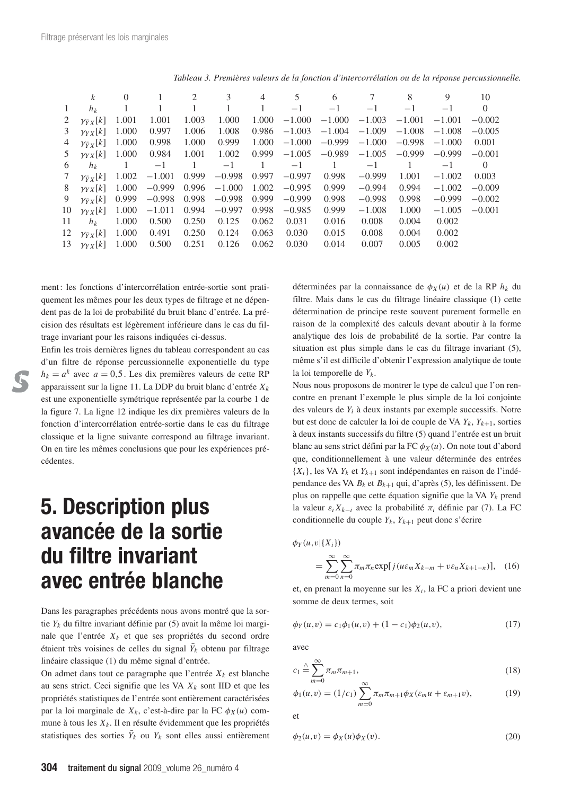|    | k                      | $\Omega$ |          | 2     | 3        | 4     | 5        | 6        |          | 8        | 9        | 10       |
|----|------------------------|----------|----------|-------|----------|-------|----------|----------|----------|----------|----------|----------|
| 1  | $h_k$                  |          |          |       |          |       | $-1$     | $-1$     | $-1$     | $-1$     | $-1$     | $\theta$ |
| 2  | $\gamma_{\bar{Y}X}[k]$ | 1.001    | 1.001    | 1.003 | 1.000    | 1.000 | $-1.000$ | $-1.000$ | $-1.003$ | $-1.001$ | $-1.001$ | $-0.002$ |
| 3  | $\gamma Y X[k]$        | 1.000    | 0.997    | 1.006 | 1.008    | 0.986 | $-1.003$ | $-1.004$ | $-1.009$ | $-1.008$ | $-1.008$ | $-0.005$ |
| 4  | $\gamma_{\bar{Y}X}[k]$ | 1.000    | 0.998    | 1.000 | 0.999    | 1.000 | $-1.000$ | $-0.999$ | $-1.000$ | $-0.998$ | $-1.000$ | 0.001    |
| 5  | $\gamma_{YX}[k]$       | 1.000    | 0.984    | 1.001 | 1.002    | 0.999 | $-1.005$ | $-0.989$ | $-1.005$ | $-0.999$ | $-0.999$ | $-0.001$ |
| 6  | $h_k$                  |          | $-1$     |       | $-1$     |       | $-1$     |          | $-1$     |          | $-1$     | $\Omega$ |
| 7  | $\gamma_{\bar{Y}X}[k]$ | 1.002    | $-1.001$ | 0.999 | $-0.998$ | 0.997 | $-0.997$ | 0.998    | $-0.999$ | 1.001    | $-1.002$ | 0.003    |
| 8  | $\gamma_{YX}[k]$       | 1.000    | $-0.999$ | 0.996 | $-1.000$ | 1.002 | $-0.995$ | 0.999    | $-0.994$ | 0.994    | $-1.002$ | $-0.009$ |
| 9  | $\gamma_{\bar{Y}X}[k]$ | 0.999    | $-0.998$ | 0.998 | $-0.998$ | 0.999 | $-0.999$ | 0.998    | $-0.998$ | 0.998    | $-0.999$ | $-0.002$ |
| 10 | $\gamma_{YX}[k]$       | 1.000    | $-1.011$ | 0.994 | $-0.997$ | 0.998 | $-0.985$ | 0.999    | $-1.008$ | 1.000    | $-1.005$ | $-0.001$ |
| 11 | $h_k$                  | 1.000    | 0.500    | 0.250 | 0.125    | 0.062 | 0.031    | 0.016    | 0.008    | 0.004    | 0.002    |          |
| 12 | $\gamma_{\bar{Y}X}[k]$ | 1.000    | 0.491    | 0.250 | 0.124    | 0.063 | 0.030    | 0.015    | 0.008    | 0.004    | 0.002    |          |
| 13 | $\gamma_{YX}[k]$       | 1.000    | 0.500    | 0.251 | 0.126    | 0.062 | 0.030    | 0.014    | 0.007    | 0.005    | 0.002    |          |
|    |                        |          |          |       |          |       |          |          |          |          |          |          |

*Tableau 3. Premières valeurs de la fonction d'intercorrélation ou de la réponse percussionnelle.*

ment : les fonctions d'intercorrélation entrée-sortie sont pratiquement les mêmes pour les deux types de filtrage et ne dépendent pas de la loi de probabilité du bruit blanc d'entrée. La précision des résultats est légèrement inférieure dans le cas du filtrage invariant pour les raisons indiquées ci-dessus.

Enfin les trois dernières lignes du tableau correspondent au cas d'un filtre de réponse percussionnelle exponentielle du type  $h_k = a^k$  avec  $a = 0.5$ . Les dix premières valeurs de cette RP apparaissent sur la ligne 11. La DDP du bruit blanc d'entrée *Xk* est une exponentielle symétrique représentée par la courbe 1 de la figure 7. La ligne 12 indique les dix premières valeurs de la fonction d'intercorrélation entrée-sortie dans le cas du filtrage classique et la ligne suivante correspond au filtrage invariant. On en tire les mêmes conclusions que pour les expériences précédentes.

## **5. Description plus avancée de la sortie du filtre invariant avec entrée blanche**

Dans les paragraphes précédents nous avons montré que la sortie *Yk* du filtre invariant définie par (5) avait la même loi marginale que l'entrée *Xk* et que ses propriétés du second ordre étaient très voisines de celles du signal  $\bar{Y}_k$  obtenu par filtrage linéaire classique (1) du même signal d'entrée.

On admet dans tout ce paragraphe que l'entrée  $X_k$  est blanche au sens strict. Ceci signifie que les VA *Xk* sont IID et que les propriétés statistiques de l'entrée sont entièrement caractérisées par la loi marginale de  $X_k$ , c'est-à-dire par la FC  $\phi_X(u)$  commune à tous les  $X_k$ . Il en résulte évidemment que les propriétés statistiques des sorties  $\bar{Y}_k$  ou  $Y_k$  sont elles aussi entièrement déterminées par la connaissance de  $\phi_X(u)$  et de la RP  $h_k$  du filtre. Mais dans le cas du filtrage linéaire classique (1) cette détermination de principe reste souvent purement formelle en raison de la complexité des calculs devant aboutir à la forme analytique des lois de probabilité de la sortie. Par contre la situation est plus simple dans le cas du filtrage invariant (5), même s'il est difficile d'obtenir l'expression analytique de toute la loi temporelle de *Yk*.

Nous nous proposons de montrer le type de calcul que l'on rencontre en prenant l'exemple le plus simple de la loi conjointe des valeurs de *Yi* à deux instants par exemple successifs. Notre but est donc de calculer la loi de couple de VA *Yk*, *Yk*+1, sorties à deux instants successifs du filtre (5) quand l'entrée est un bruit blanc au sens strict défini par la FC φ*<sup>X</sup>* (*u*). On note tout d'abord que, conditionnellement à une valeur déterminée des entrées  ${X_i}$ , les VA  $Y_k$  et  $Y_{k+1}$  sont indépendantes en raison de l'indépendance des VA *Bk* et *Bk*<sup>+</sup><sup>1</sup> qui, d'après (5), les définissent. De plus on rappelle que cette équation signifie que la VA *Yk* prend la valeur ε*<sup>i</sup> Xk*<sup>−</sup>*<sup>i</sup>* avec la probabilité π*<sup>i</sup>* définie par (7). La FC conditionnelle du couple  $Y_k$ ,  $Y_{k+1}$  peut donc s'écrire

$$
\phi_Y(u,v|\{X_i\})
$$

$$
= \sum_{m=0}^{\infty} \sum_{n=0}^{\infty} \pi_m \pi_n \exp[j(u\varepsilon_m X_{k-m} + v\varepsilon_n X_{k+1-n})], \quad (16)
$$

et, en prenant la moyenne sur les *Xi*, la FC a priori devient une somme de deux termes, soit

$$
\phi_Y(u,v) = c_1 \phi_1(u,v) + (1 - c_1) \phi_2(u,v), \tag{17}
$$

avec

$$
c_1 \stackrel{\triangle}{=} \sum_{m=0}^{\infty} \pi_m \pi_{m+1},
$$
\n<sup>(18)</sup>

$$
\phi_1(u,v) = (1/c_1) \sum_{m=0}^{\infty} \pi_m \pi_{m+1} \phi_X(\varepsilon_m u + \varepsilon_{m+1} v), \tag{19}
$$

et

$$
\phi_2(u,v) = \phi_X(u)\phi_X(v). \tag{20}
$$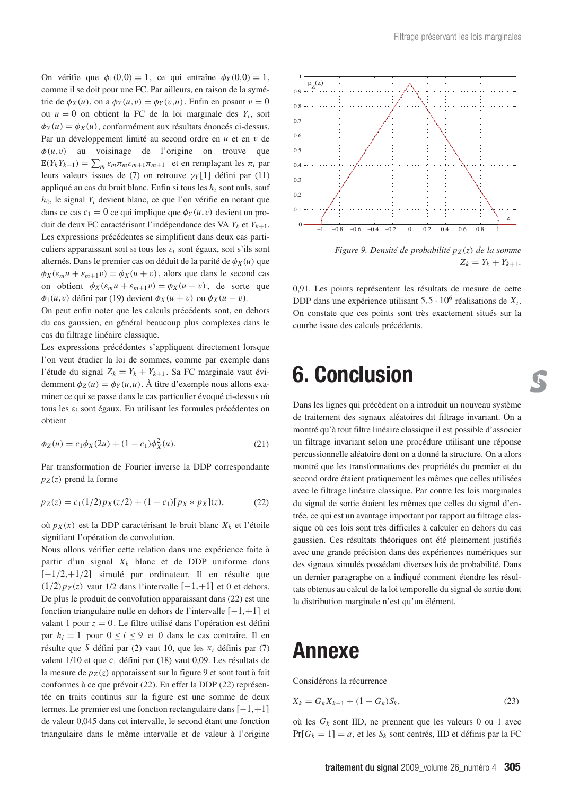On vérifie que  $\phi_1(0,0) = 1$ , ce qui entraîne  $\phi_Y(0,0) = 1$ , comme il se doit pour une FC. Par ailleurs, en raison de la symétrie de  $\phi_X(u)$ , on a  $\phi_Y(u,v) = \phi_Y(v,u)$ . Enfin en posant  $v = 0$ ou  $u = 0$  on obtient la FC de la loi marginale des  $Y_i$ , soit  $\phi_Y(u) = \phi_X(u)$ , conformément aux résultats énoncés ci-dessus. Par un développement limité au second ordre en *u* et en v de  $\phi(u, v)$  au voisinage de l'origine on trouve que  $E(Y_kY_{k+1}) = \sum_m \varepsilon_m \pi_m \varepsilon_{m+1} \pi_{m+1}$  et en remplaçant les  $\pi_i$  par leurs valeurs issues de (7) on retrouve γ*<sup>Y</sup>* [1] défini par (11) appliqué au cas du bruit blanc. Enfin si tous les *hi* sont nuls, sauf *h*0, le signal *Yi* devient blanc, ce que l'on vérifie en notant que dans ce cas  $c_1 = 0$  ce qui implique que  $\phi_Y(u, v)$  devient un produit de deux FC caractérisant l'indépendance des VA *Yk* et *Yk*+1. Les expressions précédentes se simplifient dans deux cas particuliers apparaissant soit si tous les  $\varepsilon_i$  sont égaux, soit s'ils sont alternés. Dans le premier cas on déduit de la parité de  $\phi_X(u)$  que  $\phi_X(\varepsilon_m u + \varepsilon_{m+1} v) = \phi_X(u + v)$ , alors que dans le second cas on obtient  $\phi_X(\varepsilon_m u + \varepsilon_{m+1}v) = \phi_X(u - v)$ , de sorte que  $\phi_1(u, v)$  défini par (19) devient  $\phi_X(u + v)$  ou  $\phi_X(u - v)$ .

On peut enfin noter que les calculs précédents sont, en dehors du cas gaussien, en général beaucoup plus complexes dans le cas du filtrage linéaire classique.

Les expressions précédentes s'appliquent directement lorsque l'on veut étudier la loi de sommes, comme par exemple dans l'étude du signal  $Z_k = Y_k + Y_{k+1}$ . Sa FC marginale vaut évidemment  $\phi_Z(u) = \phi_Y(u, u)$ . À titre d'exemple nous allons examiner ce qui se passe dans le cas particulier évoqué ci-dessus où tous les ε*<sup>i</sup>* sont égaux. En utilisant les formules précédentes on obtient

$$
\phi_Z(u) = c_1 \phi_X(2u) + (1 - c_1)\phi_X^2(u). \tag{21}
$$

Par transformation de Fourier inverse la DDP correspondante  $p_Z(z)$  prend la forme

$$
p_Z(z) = c_1(1/2)p_X(z/2) + (1 - c_1)[p_X * p_X](z),
$$
 (22)

où *pX* (*x*) est la DDP caractérisant le bruit blanc *Xk* et l'étoile signifiant l'opération de convolution.

Nous allons vérifier cette relation dans une expérience faite à partir d'un signal *Xk* blanc et de DDP uniforme dans [−1/2,+1/2] simulé par ordinateur. Il en résulte que  $(1/2)p_Z(z)$  vaut 1/2 dans l'intervalle  $[-1, +1]$  et 0 et dehors. De plus le produit de convolution apparaissant dans (22) est une fonction triangulaire nulle en dehors de l'intervalle [−1,+1] et valant 1 pour *z* = 0. Le filtre utilisé dans l'opération est défini par  $h_i = 1$  pour  $0 \le i \le 9$  et 0 dans le cas contraire. Il en résulte que *S* défini par (2) vaut 10, que les  $\pi_i$  définis par (7) valent 1/10 et que  $c_1$  défini par (18) vaut 0,09. Les résultats de la mesure de  $p_Z(z)$  apparaissent sur la figure 9 et sont tout à fait conformes à ce que prévoit (22). En effet la DDP (22) représentée en traits continus sur la figure est une somme de deux termes. Le premier est une fonction rectangulaire dans [−1,+1] de valeur 0,045 dans cet intervalle, le second étant une fonction triangulaire dans le même intervalle et de valeur à l'origine



*Figure 9. Densité de probabilité pZ* (*z*) *de la somme*  $Z_k = Y_k + Y_{k+1}$ .

0,91. Les points représentent les résultats de mesure de cette DDP dans une expérience utilisant  $5.5 \cdot 10^6$  réalisations de  $X_i$ . On constate que ces points sont très exactement situés sur la courbe issue des calculs précédents.

### **6. Conclusion**

Dans les lignes qui précèdent on a introduit un nouveau système de traitement des signaux aléatoires dit filtrage invariant. On a montré qu'à tout filtre linéaire classique il est possible d'associer un filtrage invariant selon une procédure utilisant une réponse percussionnelle aléatoire dont on a donné la structure. On a alors montré que les transformations des propriétés du premier et du second ordre étaient pratiquement les mêmes que celles utilisées avec le filtrage linéaire classique. Par contre les lois marginales du signal de sortie étaient les mêmes que celles du signal d'entrée, ce qui est un avantage important par rapport au filtrage classique où ces lois sont très difficiles à calculer en dehors du cas gaussien. Ces résultats théoriques ont été pleinement justifiés avec une grande précision dans des expériences numériques sur des signaux simulés possédant diverses lois de probabilité. Dans un dernier paragraphe on a indiqué comment étendre les résultats obtenus au calcul de la loi temporelle du signal de sortie dont la distribution marginale n'est qu'un élément.

### **Annexe**

Considérons la récurrence

$$
X_k = G_k X_{k-1} + (1 - G_k) S_k,
$$
\n(23)

où les  $G_k$  sont IID, ne prennent que les valeurs 0 ou 1 avec  $Pr[G_k = 1] = a$ , et les  $S_k$  sont centrés, IID et définis par la FC